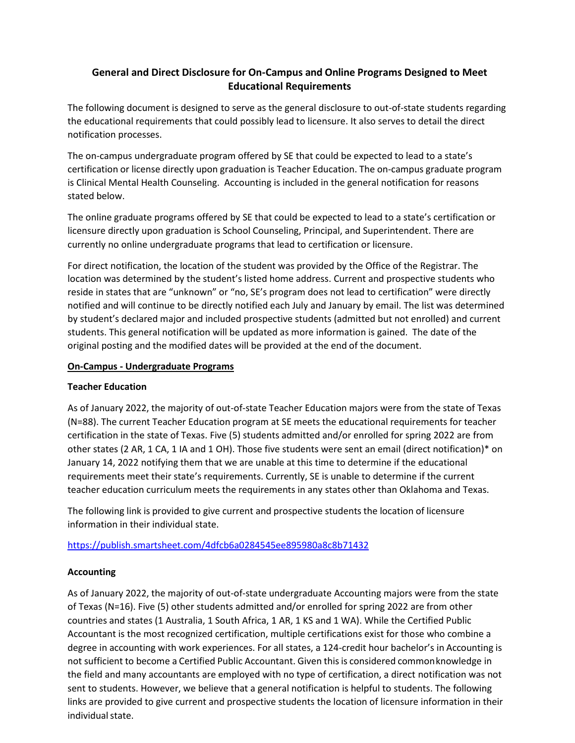# **General and Direct Disclosure for On-Campus and Online Programs Designed to Meet Educational Requirements**

The following document is designed to serve as the general disclosure to out-of-state students regarding the educational requirements that could possibly lead to licensure. It also serves to detail the direct notification processes.

The on-campus undergraduate program offered by SE that could be expected to lead to a state's certification or license directly upon graduation is Teacher Education. The on-campus graduate program is Clinical Mental Health Counseling. Accounting is included in the general notification for reasons stated below.

The online graduate programs offered by SE that could be expected to lead to a state's certification or licensure directly upon graduation is School Counseling, Principal, and Superintendent. There are currently no online undergraduate programs that lead to certification or licensure.

For direct notification, the location of the student was provided by the Office of the Registrar. The location was determined by the student's listed home address. Current and prospective students who reside in states that are "unknown" or "no, SE's program does not lead to certification" were directly notified and will continue to be directly notified each July and January by email. The list was determined by student's declared major and included prospective students (admitted but not enrolled) and current students. This general notification will be updated as more information is gained. The date of the original posting and the modified dates will be provided at the end of the document.

### **On-Campus - Undergraduate Programs**

## **Teacher Education**

As of January 2022, the majority of out-of-state Teacher Education majors were from the state of Texas (N=88). The current Teacher Education program at SE meets the educational requirements for teacher certification in the state of Texas. Five (5) students admitted and/or enrolled for spring 2022 are from other states (2 AR, 1 CA, 1 IA and 1 OH). Those five students were sent an email (direct notification)\* on January 14, 2022 notifying them that we are unable at this time to determine if the educational requirements meet their state's requirements. Currently, SE is unable to determine if the current teacher education curriculum meets the requirements in any states other than Oklahoma and Texas.

The following link is provided to give current and prospective students the location of licensure information in their individual state.

<https://publish.smartsheet.com/4dfcb6a0284545ee895980a8c8b71432>

## **Accounting**

As of January 2022, the majority of out-of-state undergraduate Accounting majors were from the state of Texas (N=16). Five (5) other students admitted and/or enrolled for spring 2022 are from other countries and states (1 Australia, 1 South Africa, 1 AR, 1 KS and 1 WA). While the Certified Public Accountant is the most recognized certification, multiple certifications exist for those who combine a degree in accounting with work experiences. For all states, a 124-credit hour bachelor's in Accounting is not sufficient to become a Certified Public Accountant. Given thisis considered common knowledge in the field and many accountants are employed with no type of certification, a direct notification was not sent to students. However, we believe that a general notification is helpful to students. The following links are provided to give current an[d prospective students the location of](https://www.roberthalf.com/blog/salaries-and-skills/finance-and-accounting-certifications-employers-want-to-see) licensure [information](https://www.roberthalf.com/blog/salaries-and-skills/finance-and-accounting-certifications-employers-want-to-see) in their individual state.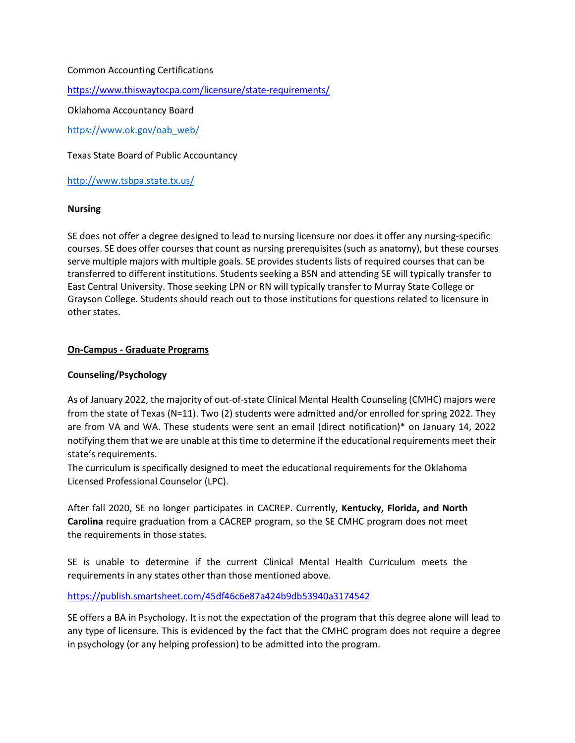#### [Common Ac](https://www.roberthalf.com/blog/salaries-and-skills/finance-and-accounting-certifications-employers-want-to-see)counting Certifications

<https://www.thiswaytocpa.com/licensure/state-requirements/>

Oklahoma Accountancy Board

[https://www.ok.gov/oab\\_web/](http://www.ok.gov/oab_web/)

Texas State Board of Public Accountancy

<http://www.tsbpa.state.tx.us/>

#### **Nursing**

SE does not offer a degree designed to lead to nursing licensure nor does it offer any nursing-specific courses. SE does offer courses that count as nursing prerequisites (such as anatomy), but these courses serve multiple majors with multiple goals. SE provides students lists of required courses that can be transferred to different institutions. Students seeking a BSN and attending SE will typically transfer to East Central University. Those seeking LPN or RN will typically transfer to Murray State College or Grayson College. Students should reach out to those institutions for questions related to licensure in other states.

#### **On-Campus - Graduate Programs**

#### **Counseling/Psychology**

As of January 2022, the majority of out-of-state Clinical Mental Health Counseling (CMHC) majors were from the state of Texas (N=11). Two (2) students were admitted and/or enrolled for spring 2022. They are from VA and WA. These students were sent an email (direct notification)\* on January 14, 2022 notifying them that we are unable at this time to determine if the educational requirements meet their state's requirements.

The curriculum is specifically designed to meet the educational requirements for the Oklahoma Licensed Professional Counselor (LPC).

After fall 2020, SE no longer participates in CACREP. Currently, **Kentucky, Florida, and North Carolina** require graduation from a CACREP program, so the SE CMHC program does not meet the requirements in those states.

SE is unable to determine if the current Clinical Mental Health Curriculum meets the requirements in any states other than those mentioned above.

<https://publish.smartsheet.com/45df46c6e87a424b9db53940a3174542>

SE offers a BA in Psychology. It is not the expectation of the program that this degree alone will lead to any type of licensure. This is evidenced by the fact that the CMHC program does not require a degree in psychology (or any helping profession) to be admitted into the program.